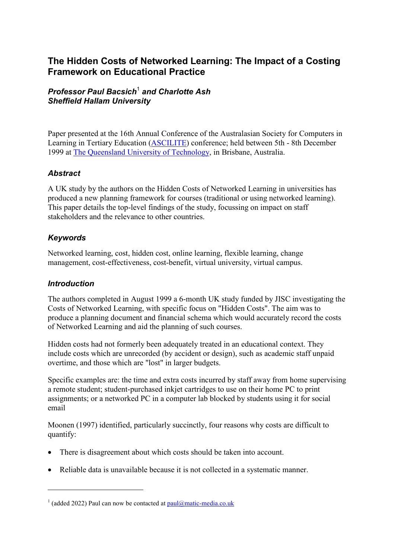# **The Hidden Costs of Networked Learning: The Impact of a Costing Framework on Educational Practice**

# *Professor Paul Bacsich*[1](#page-0-0)  *and Charlotte Ash Sheffield Hallam University*

Paper presented at the 16th Annual Conference of the Australasian Society for Computers in Learning in Tertiary Education [\(ASCILITE\)](http://www.tals.dis.qut.edu.au/ascilite99/) conference; held between 5th - 8th December 1999 at [The Queensland University of Technology,](http://www.qut.edu.au/) in Brisbane, Australia.

# *Abstract*

A UK study by the authors on the Hidden Costs of Networked Learning in universities has produced a new planning framework for courses (traditional or using networked learning). This paper details the top-level findings of the study, focussing on impact on staff stakeholders and the relevance to other countries.

# *Keywords*

Networked learning, cost, hidden cost, online learning, flexible learning, change management, cost-effectiveness, cost-benefit, virtual university, virtual campus.

# *Introduction*

1

The authors completed in August 1999 a 6-month UK study funded by JISC investigating the Costs of Networked Learning, with specific focus on "Hidden Costs". The aim was to produce a planning document and financial schema which would accurately record the costs of Networked Learning and aid the planning of such courses.

Hidden costs had not formerly been adequately treated in an educational context. They include costs which are unrecorded (by accident or design), such as academic staff unpaid overtime, and those which are "lost" in larger budgets.

Specific examples are: the time and extra costs incurred by staff away from home supervising a remote student; student-purchased inkjet cartridges to use on their home PC to print assignments; or a networked PC in a computer lab blocked by students using it for social email

Moonen (1997) identified, particularly succinctly, four reasons why costs are difficult to quantify:

- There is disagreement about which costs should be taken into account.
- Reliable data is unavailable because it is not collected in a systematic manner.

<span id="page-0-0"></span><sup>&</sup>lt;sup>1</sup> (added 2022) Paul can now be contacted at  $paul@matic-media.co.uk$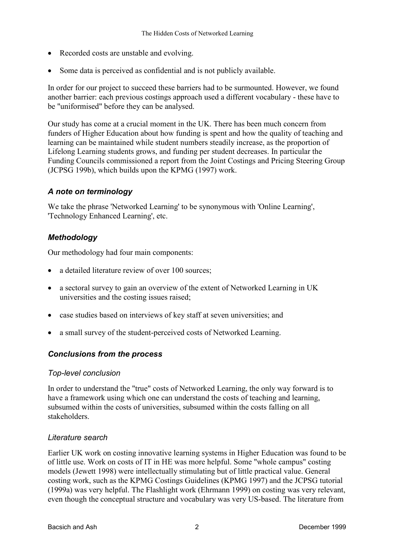- Recorded costs are unstable and evolving.
- Some data is perceived as confidential and is not publicly available.

In order for our project to succeed these barriers had to be surmounted. However, we found another barrier: each previous costings approach used a different vocabulary - these have to be "uniformised" before they can be analysed.

Our study has come at a crucial moment in the UK. There has been much concern from funders of Higher Education about how funding is spent and how the quality of teaching and learning can be maintained while student numbers steadily increase, as the proportion of Lifelong Learning students grows, and funding per student decreases. In particular the Funding Councils commissioned a report from the Joint Costings and Pricing Steering Group (JCPSG 199b), which builds upon the KPMG (1997) work.

# *A note on terminology*

We take the phrase 'Networked Learning' to be synonymous with 'Online Learning', 'Technology Enhanced Learning', etc.

# *Methodology*

Our methodology had four main components:

- a detailed literature review of over 100 sources;
- a sectoral survey to gain an overview of the extent of Networked Learning in UK universities and the costing issues raised;
- case studies based on interviews of key staff at seven universities; and
- a small survey of the student-perceived costs of Networked Learning.

### *Conclusions from the process*

### *Top-level conclusion*

In order to understand the "true" costs of Networked Learning, the only way forward is to have a framework using which one can understand the costs of teaching and learning, subsumed within the costs of universities, subsumed within the costs falling on all stakeholders.

### *Literature search*

Earlier UK work on costing innovative learning systems in Higher Education was found to be of little use. Work on costs of IT in HE was more helpful. Some "whole campus" costing models (Jewett 1998) were intellectually stimulating but of little practical value. General costing work, such as the KPMG Costings Guidelines (KPMG 1997) and the JCPSG tutorial (1999a) was very helpful. The Flashlight work (Ehrmann 1999) on costing was very relevant, even though the conceptual structure and vocabulary was very US-based. The literature from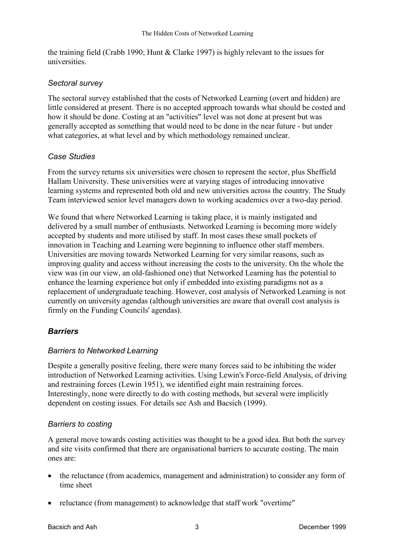the training field (Crabb 1990; Hunt & Clarke 1997) is highly relevant to the issues for universities.

### *Sectoral survey*

The sectoral survey established that the costs of Networked Learning (overt and hidden) are little considered at present. There is no accepted approach towards what should be costed and how it should be done. Costing at an "activities" level was not done at present but was generally accepted as something that would need to be done in the near future - but under what categories, at what level and by which methodology remained unclear.

### *Case Studies*

From the survey returns six universities were chosen to represent the sector, plus Sheffield Hallam University. These universities were at varying stages of introducing innovative learning systems and represented both old and new universities across the country. The Study Team interviewed senior level managers down to working academics over a two-day period.

We found that where Networked Learning is taking place, it is mainly instigated and delivered by a small number of enthusiasts. Networked Learning is becoming more widely accepted by students and more utilised by staff. In most cases these small pockets of innovation in Teaching and Learning were beginning to influence other staff members. Universities are moving towards Networked Learning for very similar reasons, such as improving quality and access without increasing the costs to the university. On the whole the view was (in our view, an old-fashioned one) that Networked Learning has the potential to enhance the learning experience but only if embedded into existing paradigms not as a replacement of undergraduate teaching. However, cost analysis of Networked Learning is not currently on university agendas (although universities are aware that overall cost analysis is firmly on the Funding Councils' agendas).

# *Barriers*

# *Barriers to Networked Learning*

Despite a generally positive feeling, there were many forces said to be inhibiting the wider introduction of Networked Learning activities. Using Lewin's Force-field Analysis, of driving and restraining forces (Lewin 1951), we identified eight main restraining forces. Interestingly, none were directly to do with costing methods, but several were implicitly dependent on costing issues. For details see Ash and Bacsich (1999).

### *Barriers to costing*

A general move towards costing activities was thought to be a good idea. But both the survey and site visits confirmed that there are organisational barriers to accurate costing. The main ones are:

- the reluctance (from academics, management and administration) to consider any form of time sheet
- reluctance (from management) to acknowledge that staff work "overtime"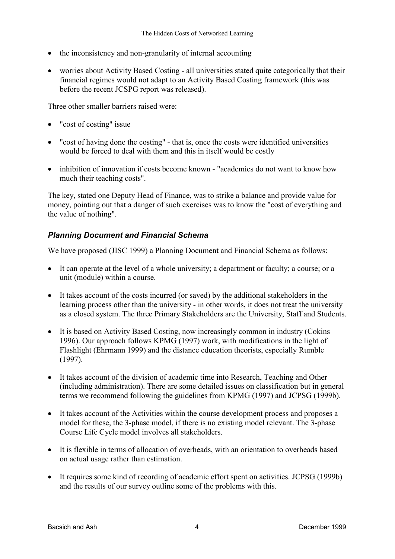- the inconsistency and non-granularity of internal accounting
- worries about Activity Based Costing all universities stated quite categorically that their financial regimes would not adapt to an Activity Based Costing framework (this was before the recent JCSPG report was released).

Three other smaller barriers raised were:

- "cost of costing" issue
- "cost of having done the costing" that is, once the costs were identified universities would be forced to deal with them and this in itself would be costly
- inhibition of innovation if costs become known "academics do not want to know how much their teaching costs".

The key, stated one Deputy Head of Finance, was to strike a balance and provide value for money, pointing out that a danger of such exercises was to know the "cost of everything and the value of nothing".

# *Planning Document and Financial Schema*

We have proposed (JISC 1999) a Planning Document and Financial Schema as follows:

- It can operate at the level of a whole university; a department or faculty; a course; or a unit (module) within a course.
- It takes account of the costs incurred (or saved) by the additional stakeholders in the learning process other than the university - in other words, it does not treat the university as a closed system. The three Primary Stakeholders are the University, Staff and Students.
- It is based on Activity Based Costing, now increasingly common in industry (Cokins 1996). Our approach follows KPMG (1997) work, with modifications in the light of Flashlight (Ehrmann 1999) and the distance education theorists, especially Rumble (1997).
- It takes account of the division of academic time into Research, Teaching and Other (including administration). There are some detailed issues on classification but in general terms we recommend following the guidelines from KPMG (1997) and JCPSG (1999b).
- It takes account of the Activities within the course development process and proposes a model for these, the 3-phase model, if there is no existing model relevant. The 3-phase Course Life Cycle model involves all stakeholders.
- It is flexible in terms of allocation of overheads, with an orientation to overheads based on actual usage rather than estimation.
- It requires some kind of recording of academic effort spent on activities. JCPSG (1999b) and the results of our survey outline some of the problems with this.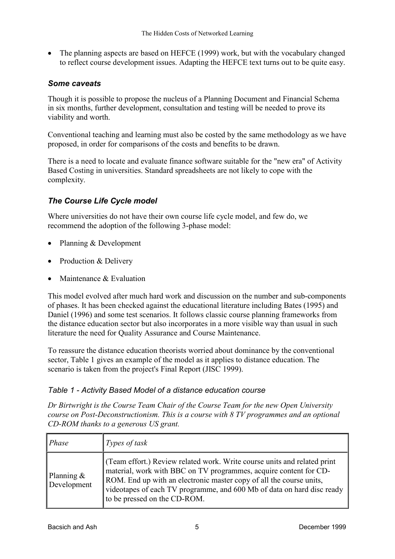• The planning aspects are based on HEFCE (1999) work, but with the vocabulary changed to reflect course development issues. Adapting the HEFCE text turns out to be quite easy.

### *Some caveats*

Though it is possible to propose the nucleus of a Planning Document and Financial Schema in six months, further development, consultation and testing will be needed to prove its viability and worth.

Conventional teaching and learning must also be costed by the same methodology as we have proposed, in order for comparisons of the costs and benefits to be drawn.

There is a need to locate and evaluate finance software suitable for the "new era" of Activity Based Costing in universities. Standard spreadsheets are not likely to cope with the complexity.

# *The Course Life Cycle model*

Where universities do not have their own course life cycle model, and few do, we recommend the adoption of the following 3-phase model:

- Planning & Development
- Production & Delivery
- Maintenance & Evaluation

This model evolved after much hard work and discussion on the number and sub-components of phases. It has been checked against the educational literature including Bates (1995) and Daniel (1996) and some test scenarios. It follows classic course planning frameworks from the distance education sector but also incorporates in a more visible way than usual in such literature the need for Quality Assurance and Course Maintenance.

To reassure the distance education theorists worried about dominance by the conventional sector, Table 1 gives an example of the model as it applies to distance education. The scenario is taken from the project's Final Report (JISC 1999).

### *Table 1 - Activity Based Model of a distance education course*

*Dr Birtwright is the Course Team Chair of the Course Team for the new Open University course on Post-Deconstructionism. This is a course with 8 TV programmes and an optional CD-ROM thanks to a generous US grant.*

| Phase                        | Types of task                                                                                                                                                                                                                                                                                                                  |
|------------------------------|--------------------------------------------------------------------------------------------------------------------------------------------------------------------------------------------------------------------------------------------------------------------------------------------------------------------------------|
| Planning $\&$<br>Development | (Team effort.) Review related work. Write course units and related print<br>material, work with BBC on TV programmes, acquire content for CD-<br>ROM. End up with an electronic master copy of all the course units,<br>videotapes of each TV programme, and 600 Mb of data on hard disc ready<br>to be pressed on the CD-ROM. |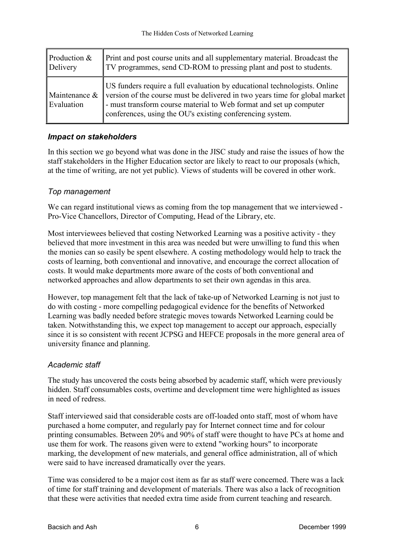| Production &                   | Print and post course units and all supplementary material. Broadcast the                                                                                                                                                                                                                   |
|--------------------------------|---------------------------------------------------------------------------------------------------------------------------------------------------------------------------------------------------------------------------------------------------------------------------------------------|
| Delivery                       | TV programmes, send CD-ROM to pressing plant and post to students.                                                                                                                                                                                                                          |
| Maintenance $\&$<br>Evaluation | US funders require a full evaluation by educational technologists. Online<br>version of the course must be delivered in two years time for global market<br>- must transform course material to Web format and set up computer<br>conferences, using the OU's existing conferencing system. |

# *Impact on stakeholders*

In this section we go beyond what was done in the JISC study and raise the issues of how the staff stakeholders in the Higher Education sector are likely to react to our proposals (which, at the time of writing, are not yet public). Views of students will be covered in other work.

### *Top management*

We can regard institutional views as coming from the top management that we interviewed -Pro-Vice Chancellors, Director of Computing, Head of the Library, etc.

Most interviewees believed that costing Networked Learning was a positive activity - they believed that more investment in this area was needed but were unwilling to fund this when the monies can so easily be spent elsewhere. A costing methodology would help to track the costs of learning, both conventional and innovative, and encourage the correct allocation of costs. It would make departments more aware of the costs of both conventional and networked approaches and allow departments to set their own agendas in this area.

However, top management felt that the lack of take-up of Networked Learning is not just to do with costing - more compelling pedagogical evidence for the benefits of Networked Learning was badly needed before strategic moves towards Networked Learning could be taken. Notwithstanding this, we expect top management to accept our approach, especially since it is so consistent with recent JCPSG and HEFCE proposals in the more general area of university finance and planning.

# *Academic staff*

The study has uncovered the costs being absorbed by academic staff, which were previously hidden. Staff consumables costs, overtime and development time were highlighted as issues in need of redress.

Staff interviewed said that considerable costs are off-loaded onto staff, most of whom have purchased a home computer, and regularly pay for Internet connect time and for colour printing consumables. Between 20% and 90% of staff were thought to have PCs at home and use them for work. The reasons given were to extend "working hours" to incorporate marking, the development of new materials, and general office administration, all of which were said to have increased dramatically over the years.

Time was considered to be a major cost item as far as staff were concerned. There was a lack of time for staff training and development of materials. There was also a lack of recognition that these were activities that needed extra time aside from current teaching and research.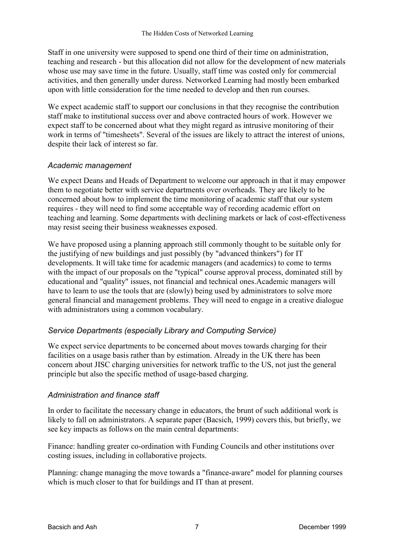Staff in one university were supposed to spend one third of their time on administration, teaching and research - but this allocation did not allow for the development of new materials whose use may save time in the future. Usually, staff time was costed only for commercial activities, and then generally under duress. Networked Learning had mostly been embarked upon with little consideration for the time needed to develop and then run courses.

We expect academic staff to support our conclusions in that they recognise the contribution staff make to institutional success over and above contracted hours of work. However we expect staff to be concerned about what they might regard as intrusive monitoring of their work in terms of "timesheets". Several of the issues are likely to attract the interest of unions, despite their lack of interest so far.

### *Academic management*

We expect Deans and Heads of Department to welcome our approach in that it may empower them to negotiate better with service departments over overheads. They are likely to be concerned about how to implement the time monitoring of academic staff that our system requires - they will need to find some acceptable way of recording academic effort on teaching and learning. Some departments with declining markets or lack of cost-effectiveness may resist seeing their business weaknesses exposed.

We have proposed using a planning approach still commonly thought to be suitable only for the justifying of new buildings and just possibly (by "advanced thinkers") for IT developments. It will take time for academic managers (and academics) to come to terms with the impact of our proposals on the "typical" course approval process, dominated still by educational and "quality" issues, not financial and technical ones.Academic managers will have to learn to use the tools that are (slowly) being used by administrators to solve more general financial and management problems. They will need to engage in a creative dialogue with administrators using a common vocabulary.

# *Service Departments (especially Library and Computing Service)*

We expect service departments to be concerned about moves towards charging for their facilities on a usage basis rather than by estimation. Already in the UK there has been concern about JISC charging universities for network traffic to the US, not just the general principle but also the specific method of usage-based charging.

### *Administration and finance staff*

In order to facilitate the necessary change in educators, the brunt of such additional work is likely to fall on administrators. A separate paper (Bacsich, 1999) covers this, but briefly, we see key impacts as follows on the main central departments:

Finance: handling greater co-ordination with Funding Councils and other institutions over costing issues, including in collaborative projects.

Planning: change managing the move towards a "finance-aware" model for planning courses which is much closer to that for buildings and IT than at present.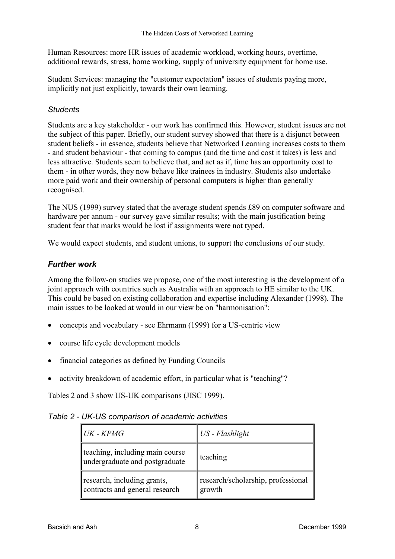Human Resources: more HR issues of academic workload, working hours, overtime, additional rewards, stress, home working, supply of university equipment for home use.

Student Services: managing the "customer expectation" issues of students paying more, implicitly not just explicitly, towards their own learning.

### *Students*

Students are a key stakeholder - our work has confirmed this. However, student issues are not the subject of this paper. Briefly, our student survey showed that there is a disjunct between student beliefs - in essence, students believe that Networked Learning increases costs to them - and student behaviour - that coming to campus (and the time and cost it takes) is less and less attractive. Students seem to believe that, and act as if, time has an opportunity cost to them - in other words, they now behave like trainees in industry. Students also undertake more paid work and their ownership of personal computers is higher than generally recognised.

The NUS (1999) survey stated that the average student spends £89 on computer software and hardware per annum - our survey gave similar results; with the main justification being student fear that marks would be lost if assignments were not typed.

We would expect students, and student unions, to support the conclusions of our study.

# *Further work*

Among the follow-on studies we propose, one of the most interesting is the development of a joint approach with countries such as Australia with an approach to HE similar to the UK. This could be based on existing collaboration and expertise including Alexander (1998). The main issues to be looked at would in our view be on "harmonisation":

- concepts and vocabulary see Ehrmann (1999) for a US-centric view
- course life cycle development models
- financial categories as defined by Funding Councils
- activity breakdown of academic effort, in particular what is "teaching"?

Tables 2 and 3 show US-UK comparisons (JISC 1999).

| Table 2 - UK-US comparison of academic activities |  |  |  |
|---------------------------------------------------|--|--|--|
|---------------------------------------------------|--|--|--|

| UK - KPMG                                                         | $\big  \textit{US} - \textit{Flashlight} \big $ |
|-------------------------------------------------------------------|-------------------------------------------------|
| teaching, including main course<br>undergraduate and postgraduate | teaching                                        |
| research, including grants,<br>contracts and general research     | research/scholarship, professional<br>growth    |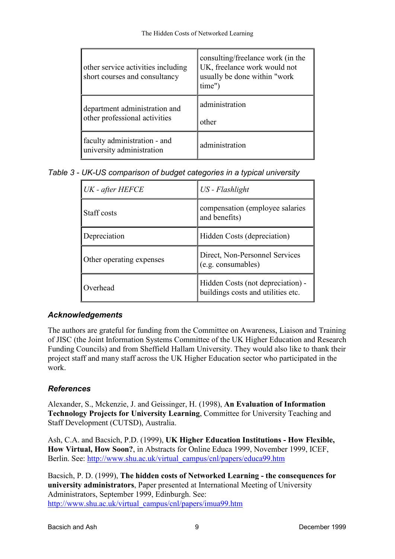| other service activities including<br>short courses and consultancy | consulting/freelance work (in the<br>UK, freelance work would not<br>usually be done within "work"<br>time") |
|---------------------------------------------------------------------|--------------------------------------------------------------------------------------------------------------|
| department administration and<br>other professional activities      | administration<br>other                                                                                      |
| faculty administration - and<br>university administration           | administration                                                                                               |

*Table 3 - UK-US comparison of budget categories in a typical university* 

| UK - after HEFCE         | US - Flashlight                                                         |
|--------------------------|-------------------------------------------------------------------------|
| Staff costs              | compensation (employee salaries)<br>and benefits)                       |
| Depreciation             | Hidden Costs (depreciation)                                             |
| Other operating expenses | Direct, Non-Personnel Services<br>(e.g. consumables)                    |
| Overhead                 | Hidden Costs (not depreciation) -<br>buildings costs and utilities etc. |

# *Acknowledgements*

The authors are grateful for funding from the Committee on Awareness, Liaison and Training of JISC (the Joint Information Systems Committee of the UK Higher Education and Research Funding Councils) and from Sheffield Hallam University. They would also like to thank their project staff and many staff across the UK Higher Education sector who participated in the work.

# *References*

Alexander, S., Mckenzie, J. and Geissinger, H. (1998), **An Evaluation of Information Technology Projects for University Learning**, Committee for University Teaching and Staff Development (CUTSD), Australia.

Ash, C.A. and Bacsich, P.D. (1999), **UK Higher Education Institutions - How Flexible, How Virtual, How Soon?**, in Abstracts for Online Educa 1999, November 1999, ICEF, Berlin. See: [http://www.shu.ac.uk/virtual\\_campus/cnl/papers/educa99.htm](http://www.shu.ac.uk/virtual_campus/cnl/papers/educa99.htm)

Bacsich, P. D. (1999), **The hidden costs of Networked Learning - the consequences for university administrators**, Paper presented at International Meeting of University Administrators, September 1999, Edinburgh. See: [http://www.shu.ac.uk/virtual\\_campus/cnl/papers/imua99.htm](http://www.shu.ac.uk/virtual_campus/cnl/papers/imua99.htm)